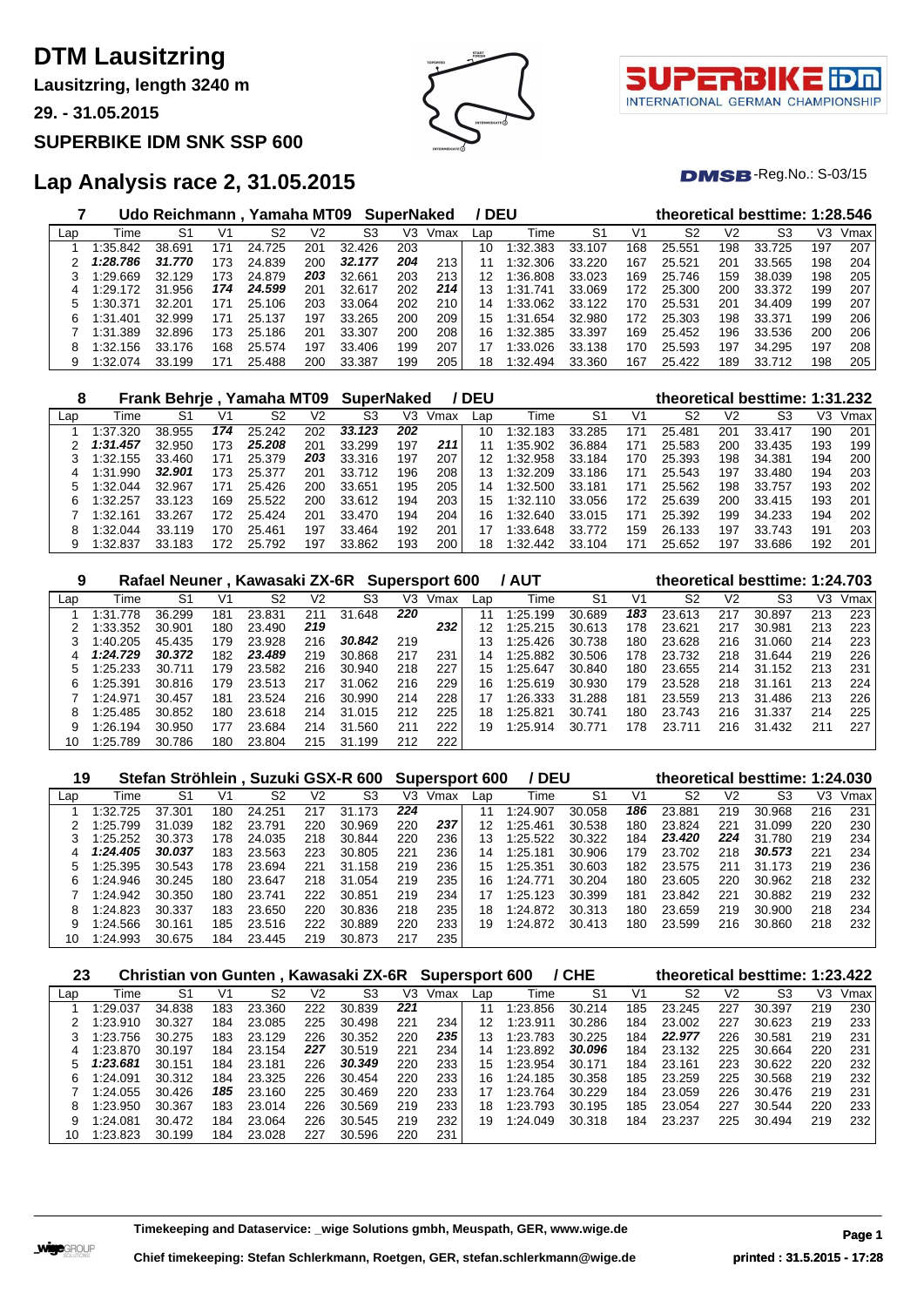# **DTM Lausitzring**

**Lausitzring, length 3240 m**

**29. - 31.05.2015**

### **SUPERBIKE IDM SNK SSP 600**





 $DMSB$ -Reg.No.:  $S-03/15$ 

## **Lap Analysis race 2, 31.05.2015**

|     |           | Udo Reichmann . Yamaha MT09 |     |             |     |            | <b>SuperNaked</b> |      | / DEU |              |        |     |        |     | theoretical besttime: 1:28.546 |     |      |
|-----|-----------|-----------------------------|-----|-------------|-----|------------|-------------------|------|-------|--------------|--------|-----|--------|-----|--------------------------------|-----|------|
| Lap | Time      | S1                          | V1  | S2          | V2  | S3         | V3.               | Vmax | Lap   | Time         | S1     | V1  | S2     | V2  | S3                             | V3  | Vmax |
|     | 1:35.842  | 38.691                      | 171 | 24.725      | 201 | 32<br>.426 | 203               |      | 10    | 1:32.383     | 33.107 | 168 | 25.551 | 198 | 33.725                         | 197 | 207  |
|     | 1:28.786  | 31.770                      | 173 | 24.839      | 200 | 32.177     | 204               | 213  |       | 1:32.306     | 33.220 | 167 | 25.521 | 201 | 33.565                         | 198 | 204  |
|     | 1:29.669  | 32.129                      | 173 | 24.879      | 203 | 32.661     | 203               | 213  | 12    | 1:36.808     | 33.023 | 169 | 25.746 | 159 | 38.039                         | 198 | 205  |
| 4   | $+29.172$ | .956<br>31                  | 174 | 24.599      | 201 | 32.617     | 202               | 214  | 13    | 741<br>1:31. | 33.069 | 172 | 25.300 | 200 | 33.372                         | 199 | 207  |
| 5   | :30.371   | 32.201                      | 171 | .106<br>25. | 203 | 33.064     | 202               | 210  | 14    | $\pm 33.062$ | 33.122 | 170 | 25.531 | 201 | 34.409                         | 199 | 207  |
| 6   | 1:31.401  | 32.999                      | 171 | 25.<br>.137 | 197 | 33.265     | 200               | 209  | 15    | 1:31.654     | 32.980 | 172 | 25.303 | 198 | 33.371                         | 199 | 206  |
|     | 1:31.389  | 32.896                      | 173 | .186<br>25. | 201 | 33.307     | 200               | 208  | 16    | 1:32.385     | 33.397 | 169 | 25.452 | 196 | 33.536                         | 200 | 206  |
| 8   | 1:32.156  | 33.176                      | 168 | 25.574      | 197 | 33.406     | 199               | 207  |       | 1:33.026     | 33.138 | 170 | 25.593 | 197 | 34.295                         | 197 | 208  |
| 9   | 1:32.074  | 33.199                      | 171 | 25.488      | 200 | 33.387     | 199               | 205  | 18    | 1:32.494     | 33.360 | 167 | 25.422 | 189 | 33.712                         | 198 | 205  |

| 8   |              | <b>Frank Behrie</b> |     | Yamaha MT09 |     | <b>SuperNaked</b> |     |      | <b>DEU</b> |          |        |     | theoretical besttime: 1:31.232 |                |        |     |      |
|-----|--------------|---------------------|-----|-------------|-----|-------------------|-----|------|------------|----------|--------|-----|--------------------------------|----------------|--------|-----|------|
| Lap | Time         | S1                  | V1  | S2          | V2  | S3                | V3  | Vmax | Lap        | Time     | S1     | V1  | S2                             | V <sub>2</sub> | S3     | VЗ  | Vmax |
|     | 1:37.320     | 38.955              | 174 | 25.242      | 202 | 33.123            | 202 |      | 10         | 1:32.183 | 33.285 | 171 | 25.481                         | 201            | 33.417 | 190 | 201  |
|     | 1:31.457     | 32.950              | 173 | 25.208      | 201 | 33.299            | 197 | 211  |            | 1:35.902 | 36.884 | 171 | 25.583                         | 200            | 33.435 | 193 | 199  |
|     | 1:32.155     | 33.460              | 171 | 25.379      | 203 | 33.316            | 197 | 207  | 12         | 1:32.958 | 33.184 | 170 | 25.393                         | 198            | 34.381 | 194 | 200  |
|     | 1:31.990     | 32.901              | 173 | 25.377      | 201 | 33.712            | 196 | 208  | 13         | 1:32.209 | 33.186 | 171 | 25.543                         | 197            | 33.480 | 194 | 203  |
|     | 1:32.044     | 32.967              | 171 | 25.426      | 200 | 33.651            | 195 | 205  | 14         | 1:32.500 | 33.181 | 171 | 25.562                         | 198            | 33.757 | 193 | 202  |
|     | .257<br>:32. | 33.123              | 169 | 25.522      | 200 | 33.612            | 194 | 203  | 15         | 1:32.110 | 33.056 | 172 | 25.639                         | 200            | 33.415 | 193 | 201  |
|     | 1:32.161     | 33.267              | 172 | 25.424      | 201 | 33.470            | 194 | 204  | 16         | 1:32.640 | 33.015 | 171 | 25.392                         | 199            | 34.233 | 194 | 202  |
| 8   | 1:32.044     | 33.119              | 170 | 25.461      | 197 | 33.464            | 192 | 201  | 17         | 1:33.648 | 33.772 | 159 | 26.133                         | 197            | 33.743 | 191 | 203  |
|     | 1:32.837     | 33.183              | 172 | 25.792      | 197 | 33.862            | 193 | 200  | 18         | 1:32.442 | 33.104 | 171 | 25.652                         | 197            | 33.686 | 192 | 201  |

| 9   |          |        |     | Rafael Neuner, Kawasaki ZX-6R |     |            |     | <b>Supersport 600</b> |     | <b>/ AUT</b> |                |     |                |                | theoretical besttime: 1:24.703 |     |      |
|-----|----------|--------|-----|-------------------------------|-----|------------|-----|-----------------------|-----|--------------|----------------|-----|----------------|----------------|--------------------------------|-----|------|
| Lap | Time     | S1     | V1  | S2                            | V2  | S3         | V3  | Vmax                  | Lap | Time         | S <sub>1</sub> | V1  | S <sub>2</sub> | V <sub>2</sub> | S3                             | VЗ  | Vmax |
|     | 1:31.778 | 36.299 | 181 | 23.831                        | 211 | 31<br>.648 | 220 |                       | 11  | 1:25.199     | 30.689         | 183 | 23.613         | 217            | 30.897                         | 213 | 223  |
|     | 1:33.352 | 30.901 | 180 | 23.490                        | 219 |            |     | 232                   | 12  | 1:25.215     | 30.613         | 178 | 23.621         | 217            | 30.981                         | 213 | 223  |
|     | 1:40.205 | 45.435 | 179 | 23.928                        | 216 | 30.842     | 219 |                       | 13  | 1:25.426     | 30.738         | 180 | 23.628         | 216            | 31.060                         | 214 | 223  |
| 4   | 1:24.729 | 30.372 | 182 | 23.489                        | 219 | 30.868     | 217 | 231                   | 14  | 1:25.882     | 30.506         | 178 | 23.732         | 218            | 31.644                         | 219 | 226  |
|     | 1:25.233 | 30.711 | 179 | 23.582                        | 216 | 30.940     | 218 | 227                   | 15  | 1:25.647     | 30.840         | 180 | 23.655         | 214            | 31.<br>.152                    | 213 | 231  |
| 6   | 1:25.391 | 30.816 | 179 | 23.513                        | 217 | .062<br>31 | 216 | 229                   | 16  | 1:25.619     | 30.930         | 179 | 23.528         | 218            | 31<br>.161                     | 213 | 224  |
|     | 1:24.971 | 30.457 | 181 | 23.524                        | 216 | 30.990     | 214 | 228                   | 17  | 1:26.333     | 31.288         | 181 | 23.559         | 213            | 31.486                         | 213 | 226  |
| 8   | 1:25.485 | 30.852 | 180 | 23.618                        | 214 | 31.015     | 212 | 225                   | 18  | 1:25.821     | 30.741         | 180 | 23.743         | 216            | 31.337                         | 214 | 225  |
|     | 1:26.194 | 30.950 | 177 | 23.684                        | 214 | 31<br>.560 | 211 | 222                   | 19  | 1:25.914     | 30.771         | 178 | 23.711         | 216            | 31.432                         | 211 | 227  |
| 10  | 1:25.789 | 30.786 | 180 | 23.804                        | 215 | 31.<br>199 | 212 | 222                   |     |              |                |     |                |                |                                |     |      |

| 19  |          |        |     |        |     | Stefan Ströhlein, Suzuki GSX-R 600 |     | <b>Supersport 600</b> |     | / DEU    |        |     |                |                | theoretical besttime: 1:24.030 |     |      |
|-----|----------|--------|-----|--------|-----|------------------------------------|-----|-----------------------|-----|----------|--------|-----|----------------|----------------|--------------------------------|-----|------|
| Lap | Time     | S1     | V1  | S2     | V2  | S <sub>3</sub>                     | V3  | Vmax                  | Lap | Time     | S1     | V1  | S <sub>2</sub> | V <sub>2</sub> | S3                             | VЗ  | Vmax |
|     | 1:32.725 | 37.301 | 180 | 24.251 | 217 | 31.<br>.173                        | 224 |                       | 11  | 1:24.907 | 30.058 | 186 | 23.881         | 219            | 30.968                         | 216 | 231  |
|     | 1:25.799 | 31.039 | 182 | 23.791 | 220 | 30.969                             | 220 | 237                   | 12  | 1:25.461 | 30.538 | 180 | 23.824         | 221            | 31.099                         | 220 | 230  |
|     | 1:25.252 | 30.373 | 178 | 24.035 | 218 | 30.844                             | 220 | 236                   | 13  | 1:25.522 | 30.322 | 184 | 23,420         | 224            | 31.780                         | 219 | 234  |
| 4   | 1:24.405 | 30.037 | 183 | 23.563 | 223 | 30.805                             | 221 | 236                   | 14  | 1:25.181 | 30.906 | 179 | 23.702         | 218            | 30.573                         | 221 | 234  |
|     | 1:25.395 | 30.543 | 178 | 23.694 | 221 | 31<br>.158                         | 219 | 236                   | 15  | 1:25.351 | 30.603 | 182 | 23.575         | 211            | 31.173                         | 219 | 236  |
| 6.  | 1:24.946 | 30.245 | 180 | 23.647 | 218 | 31<br>.054                         | 219 | 235                   | 16  | 1:24.771 | 30.204 | 180 | 23.605         | 220            | 30.962                         | 218 | 232  |
|     | 1:24.942 | 30.350 | 180 | 23.741 | 222 | 30.851                             | 219 | 234                   | 17  | 1:25.123 | 30.399 | 181 | 23.842         | 221            | 30.882                         | 219 | 232  |
| 8   | 1:24.823 | 30.337 | 183 | 23.650 | 220 | 30.836                             | 218 | 235                   | 18  | 1:24.872 | 30.313 | 180 | 23.659         | 219            | 30.900                         | 218 | 234  |
| 9   | 1:24.566 | 30.161 | 185 | 23.516 | 222 | 30.889                             | 220 | 233                   | 19  | 1:24.872 | 30.413 | 180 | 23.599         | 216            | 30.860                         | 218 | 232  |
| 10  | 1:24.993 | 30.675 | 184 | 23.445 | 219 | 30.873                             | 217 | 235                   |     |          |        |     |                |                |                                |     |      |

| 23  |          | Christian von Gunten, Kawasaki ZX-6R |     |        |     |        |     | <b>Supersport 600</b> |     |          | / CHE  |     |        |                | theoretical besttime: 1:23.422 |     |      |
|-----|----------|--------------------------------------|-----|--------|-----|--------|-----|-----------------------|-----|----------|--------|-----|--------|----------------|--------------------------------|-----|------|
| Lap | Time     | S1                                   | V1  | S2     | V2  | S3     | V3  | Vmax                  | Lap | Time     | S1     | V1  | S2     | V <sub>2</sub> | S3                             | V3  | Vmax |
|     | 1:29.037 | 34.838                               | 183 | 23.360 | 222 | 30.839 | 221 |                       | 11  | 1:23.856 | 30.214 | 185 | 23.245 | 227            | 30.397                         | 219 | 230  |
|     | 1:23.910 | 30.327                               | 184 | 23.085 | 225 | 30.498 | 221 | 234                   | 12  | 1:23.911 | 30.286 | 184 | 23.002 | 227            | 30.623                         | 219 | 233  |
|     | 1:23.756 | 30.275                               | 183 | 23.129 | 226 | 30.352 | 220 | 235                   | 13  | 1:23.783 | 30.225 | 184 | 22.977 | 226            | 30.581                         | 219 | 231  |
| 4   | 1:23.870 | 30.197                               | 184 | 23.154 | 227 | 30.519 | 221 | 234                   | 14  | 1:23.892 | 30.096 | 184 | 23.132 | 225            | 30.664                         | 220 | 231  |
| 5   | 1:23.681 | 30.151                               | 184 | 23.181 | 226 | 30.349 | 220 | 233                   | 15  | 1:23.954 | 30.171 | 184 | 23.161 | 223            | 30.622                         | 220 | 232  |
| 6   | 1:24.091 | 30.312                               | 184 | 23.325 | 226 | 30.454 | 220 | 233                   | 16  | 1:24.185 | 30.358 | 185 | 23.259 | 225            | 30.568                         | 219 | 232  |
|     | 1:24.055 | 30.426                               | 185 | 23.160 | 225 | 30.469 | 220 | 233                   | 17  | 1:23.764 | 30.229 | 184 | 23.059 | 226            | 30.476                         | 219 | 231  |
| 8   | 1:23.950 | 30.367                               | 183 | 23.014 | 226 | 30.569 | 219 | 233                   | 18  | 1:23.793 | 30.195 | 185 | 23.054 | 227            | 30.544                         | 220 | 233  |
| 9   | 1:24.081 | 30.472                               | 184 | 23.064 | 226 | 30.545 | 219 | 232                   | 19  | 1:24.049 | 30.318 | 184 | 23.237 | 225            | 30.494                         | 219 | 232  |
| 10  | 1:23.823 | 30.199                               | 184 | 23.028 | 227 | 30.596 | 220 | 231                   |     |          |        |     |        |                |                                |     |      |

**Timekeeping and Dataservice: \_wige Solutions gmbh, Meuspath, GER, www.wige.de Page 1**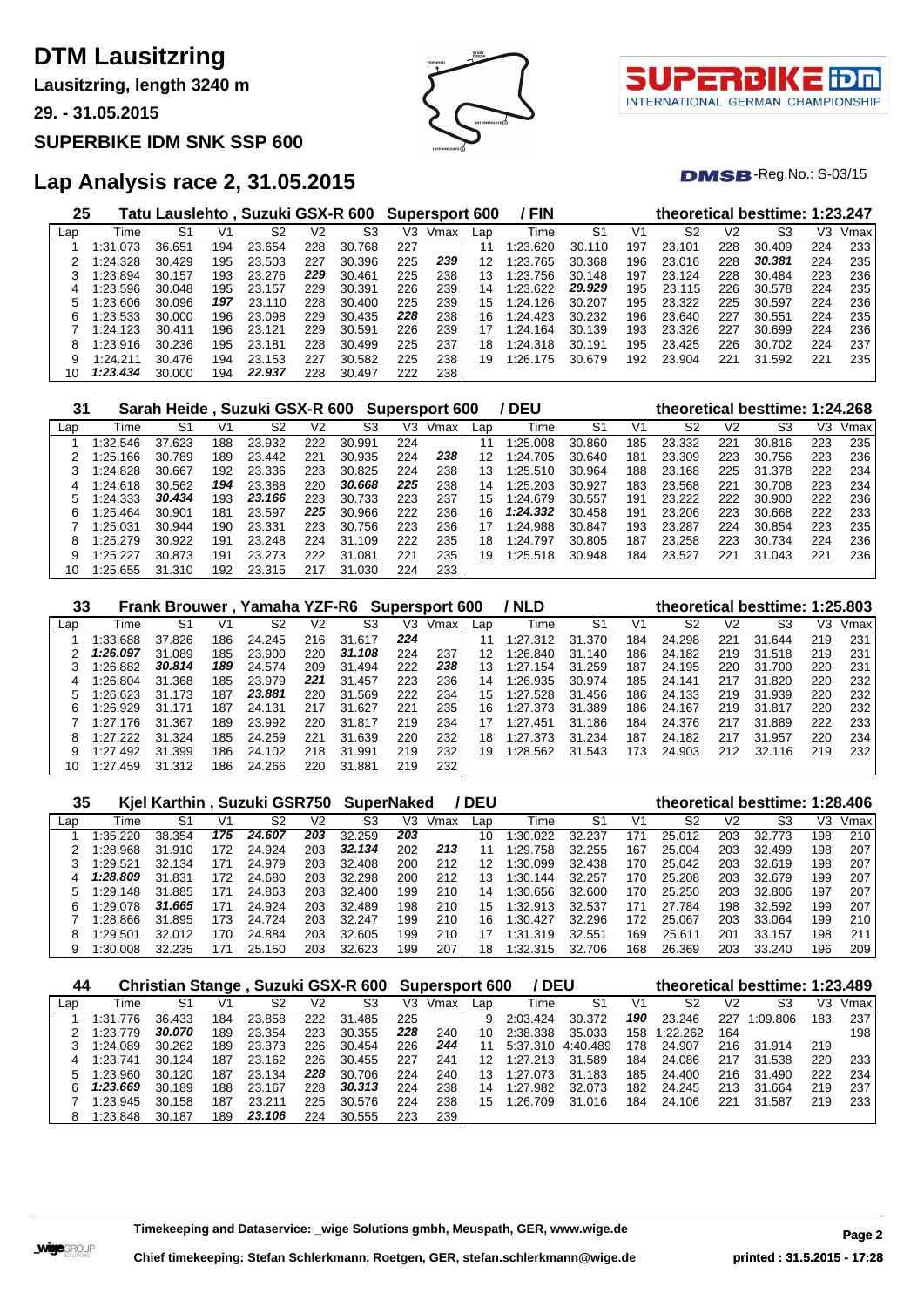# **DTM Lausitzring**

**Lausitzring, length 3240 m**

**29. - 31.05.2015**

#### **SUPERBIKE IDM SNK SSP 600**





 $DMSB$ -Reg.No.:  $S-03/15$ 

## **Lap Analysis race 2, 31.05.2015**

| 25  |          | Tatu Lauslehto , Suzuki GSX-R 600 |     |        |     |             |     | Supersport 600 |              | / FIN         |        |     |                |     | theoretical besttime: 1:23.247 |     |      |
|-----|----------|-----------------------------------|-----|--------|-----|-------------|-----|----------------|--------------|---------------|--------|-----|----------------|-----|--------------------------------|-----|------|
| Lap | Time     | S1                                | V1  | S2     | V2  | S3          | V3  | Vmax           | Lap          | Time          | S1     | V1  | S <sub>2</sub> | V2  | S <sub>3</sub>                 | V3  | Vmax |
|     | :31.073  | 36.651                            | 194 | 23.654 | 228 | .768<br>30. | 227 |                | 11           | 1:23.620      | 30.110 | 197 | 23.101         | 228 | 30.409                         | 224 | 233  |
|     | 1:24.328 | 30.429                            | 195 | 23.503 | 227 | 30.396      | 225 | 239            | 12           | .765<br>1:23. | 30.368 | 196 | 23.016         | 228 | 30.381                         | 224 | 235  |
|     | :23.894  | 30.157                            | 193 | 23.276 | 229 | 30.461      | 225 | 238            | 13           | 1:23.756      | 30.148 | 197 | 23.124         | 228 | 30.484                         | 223 | 236  |
| 4   | :23.596  | 30.048                            | 195 | 23.157 | 229 | 30.391      | 226 | 239            | 14           | 1:23.622      | 29.929 | 195 | 23.115         | 226 | 30.578                         | 224 | 235  |
|     | 1:23.606 | 30.096                            | 197 | 23.110 | 228 | 30.400      | 225 | 239            | $15^{\circ}$ | 1:24.126      | 30.207 | 195 | 23.322         | 225 | 30.597                         | 224 | 236  |
| 6   | 1:23.533 | 30.000                            | 196 | 23.098 | 229 | 30.435      | 228 | 238            | 16           | 1:24.423      | 30.232 | 196 | 23.640         | 227 | 30.551                         | 224 | 235  |
|     | 1:24.123 | 30.411                            | 196 | 23.121 | 229 | 30.591      | 226 | 239            |              | 1:24.164      | 30.139 | 193 | 23.326         | 227 | 30.699                         | 224 | 236  |
| 8   | 1:23.916 | 30.236                            | 195 | 23.181 | 228 | 30.499      | 225 | 237            | 18           | 1:24.318      | 30.191 | 195 | 23.425         | 226 | 30.702                         | 224 | 237  |
| 9   | 1:24.211 | 30.476                            | 194 | 23.153 | 227 | 30.582      | 225 | 238            | 19           | 1:26.175      | 30.679 | 192 | 23.904         | 221 | 31<br>.592                     | 221 | 235  |
| 10  | 1:23.434 | 30.000                            | 194 | 22.937 | 228 | 30.497      | 222 | 238            |              |               |        |     |                |     |                                |     |      |

| 31  |          | Sarah Heide, Suzuki GSX-R 600 |     |        |     |            |     | <b>Supersport 600</b> |     | ' DEU    |                |     |        |                | theoretical besttime: 1:24.268 |     |      |
|-----|----------|-------------------------------|-----|--------|-----|------------|-----|-----------------------|-----|----------|----------------|-----|--------|----------------|--------------------------------|-----|------|
| Lap | Time     | S1                            | V1  | S2     | V2  | S3         | V3  | Vmax                  | Lap | Time     | S <sub>1</sub> | V1  | S2     | V <sub>2</sub> | S3                             | V3  | Vmax |
|     | 1:32.546 | 37.623                        | 188 | 23.932 | 222 | 30.991     | 224 |                       | 11  | 1:25.008 | 30.860         | 185 | 23.332 | 221            | 30.816                         | 223 | 235  |
|     | 1:25.166 | 30.789                        | 189 | 23.442 | 221 | 30.935     | 224 | 238                   | 12  | 1:24.705 | 30.640         | 181 | 23.309 | 223            | 30.756                         | 223 | 236  |
|     | 1:24.828 | 30.667                        | 192 | 23.336 | 223 | 30.825     | 224 | 238                   | 13  | 1:25.510 | 30.964         | 188 | 23.168 | 225            | 31.378                         | 222 | 234  |
| 4   | 1:24.618 | 30.562                        | 194 | 23.388 | 220 | 30.668     | 225 | 238                   | 14  | 1:25.203 | 30.927         | 183 | 23.568 | 221            | 30.708                         | 223 | 234  |
|     | 1:24.333 | 30.434                        | 193 | 23.166 | 223 | 30.733     | 223 | 237                   | 15  | 1:24.679 | 30.557         | 191 | 23.222 | 222            | 30.900                         | 222 | 236  |
| 6   | 1:25.464 | 30.901                        | 181 | 23.597 | 225 | 30.966     | 222 | 236                   | 16  | 1:24.332 | 30.458         | 191 | 23.206 | 223            | 30.668                         | 222 | 233  |
|     | 1:25.031 | 30.944                        | 190 | 23.331 | 223 | 30.756     | 223 | 236                   |     | 1:24.988 | 30.847         | 193 | 23.287 | 224            | 30.854                         | 223 | 235  |
| 8   | 1:25.279 | 30.922                        | 191 | 23.248 | 224 | 31.109     | 222 | 235                   | 18  | 1:24.797 | 30.805         | 187 | 23.258 | 223            | 30.734                         | 224 | 236  |
|     | 1:25.227 | 30.873                        | 191 | 23.273 | 222 | 31<br>.081 | 221 | 235                   | 19  | 1:25.518 | 30.948         | 184 | 23.527 | 221            | 31.043                         | 221 | 236  |
| 10  | 1:25.655 | 31.310                        | 192 | 23.315 | 217 | .030<br>31 | 224 | 233                   |     |          |                |     |        |                |                                |     |      |

| 33  |          |        |     | Frank Brouwer, Yamaha YZF-R6 Supersport 600 |                |            |     |      |     | / NLD    |                |     |        |                | theoretical besttime: 1:25.803 |     |      |
|-----|----------|--------|-----|---------------------------------------------|----------------|------------|-----|------|-----|----------|----------------|-----|--------|----------------|--------------------------------|-----|------|
| Lap | Time     | S1     | Vʻ  | S2                                          | V <sub>2</sub> | S3         | V3  | Vmax | Lap | Time     | S <sub>1</sub> | V1  | S2     | V <sub>2</sub> | S3                             | VЗ  | Vmax |
|     | 1:33.688 | 37.826 | 186 | 24.245                                      | 216            | 31.617     | 224 |      | 11  | 1:27.312 | 31.370         | 184 | 24.298 | 221            | 31.644                         | 219 | 231  |
|     | 1:26.097 | 31.089 | 185 | 23.900                                      | 220            | 31.108     | 224 | 237  | 12  | 1:26.840 | 31.140         | 186 | 24.182 | 219            | 31.518                         | 219 | 231  |
|     | 1:26.882 | 30.814 | 189 | 24.574                                      | 209            | 31.494     | 222 | 238  | 13  | 1:27.154 | 31.259         | 187 | 24.195 | 220            | 31.700                         | 220 | 231  |
|     | 1:26.804 | 31.368 | 185 | 23.979                                      | 221            | 31.457     | 223 | 236  | 14  | 1:26.935 | 30.974         | 185 | 24.141 | 217            | 31.820                         | 220 | 232  |
|     | 1:26.623 | 31.173 | 187 | 23.881                                      | 220            | 31.569     | 222 | 234  | 15  | 1:27.528 | 31.456         | 186 | 24.133 | 219            | 31.939                         | 220 | 232  |
| 6   | 1:26.929 | 31.171 | 187 | 24.131                                      | 217            | 31.627     | 221 | 235  | 16  | 1:27.373 | 31.389         | 186 | 24.167 | 219            | 31.817                         | 220 | 232  |
|     | 1:27.176 | 31.367 | 189 | 23.992                                      | 220            | 31.817     | 219 | 234  |     | 1:27.451 | 31.186         | 184 | 24.376 | 217            | 31.889                         | 222 | 233  |
| 8   | 1:27.222 | 31.324 | 185 | 24.259                                      | 221            | 31.639     | 220 | 232  | 18  | 1:27.373 | 31.234         | 187 | 24.182 | 217            | 31.957                         | 220 | 234  |
| 9   | 1:27.492 | 31.399 | 186 | 24.102                                      | 218            | 31.991     | 219 | 232  | 19  | 1:28.562 | 31.543         | 173 | 24.903 | 212            | 32.116                         | 219 | 232  |
| 10  | 1:27.459 | 31.312 | 186 | 24.266                                      | 220            | .881<br>31 | 219 | 232  |     |          |                |     |        |                |                                |     |      |

| 35  |          | Kjel Karthin, Suzuki GSR750 |                |        |                | <b>SuperNaked</b> |     |      | <b>DEU</b> |              |        |     |        |                | theoretical besttime: 1:28.406 |     |      |
|-----|----------|-----------------------------|----------------|--------|----------------|-------------------|-----|------|------------|--------------|--------|-----|--------|----------------|--------------------------------|-----|------|
| Lap | Time     | S1                          | V <sup>1</sup> | S2     | V <sub>2</sub> | S3                | V3  | Vmax | Lap        | Time         | -S1    | V1  | S2     | V <sub>2</sub> | S3                             | VЗ  | Vmax |
|     | 1:35.220 | 38.354                      | 175            | 24.607 | 203            | 32.259            | 203 |      | 10         | 1:30.022     | 32.237 | 171 | 25.012 | 203            | 32.773                         | 198 | 210  |
|     | 1:28.968 | 31.910                      | 172            | 24.924 | 203            | 32.134            | 202 | 213  | 11         | 1:29.<br>758 | 32.255 | 167 | 25.004 | 203            | 32.499                         | 198 | 207  |
|     | 1:29.521 | 32.134                      | 71             | 24.979 | 203            | 32<br>.408        | 200 | 212  | 12         | 1:30.099     | 32.438 | 170 | 25.042 | 203            | 32.619                         | 198 | 207  |
|     | 1:28.809 | 31.831                      | 172            | 24.680 | 203            | 32.298            | 200 | 212  | 13         | 1:30.<br>144 | 32.257 | 170 | 25.208 | 203            | 32.679                         | 199 | 207  |
|     | 1:29.148 | 31.885                      | 171            | 24.863 | 203            | 32.400            | 199 | 210  | 14         | 1:30<br>.656 | 32.600 | 170 | 25.250 | 203            | 32.806                         | 197 | 207  |
| 6   | 1:29.078 | 31.665                      | 171            | 24.924 | 203            | 32.489            | 198 | 210  | 15         | 1:32.913     | 32.537 | 171 | 27.784 | 198            | 32.592                         | 199 | 207  |
|     | 1:28.866 | 31.895                      | 173            | 24.724 | 203            | 32.247            | 199 | 210  | 16         | 1:30.427     | 32.296 | 172 | 25.067 | 203            | 33.064                         | 199 | 210  |
| 8   | 1:29.501 | 32.012                      | 170            | 24.884 | 203            | 32.605            | 199 | 210  | 17         | 1:31<br>.319 | 32.551 | 169 | 25.611 | 201            | 33.157                         | 198 | 211  |
| 9   | 1:30.008 | 32.235                      | 71             | 25.150 | 203            | 32.623            | 199 | 207  | 18         | 1:32.315     | 32.706 | 168 | 26.369 | 203            | 33.240                         | 196 | 209  |

| 44  |          |        |     |        |     | Christian Stange, Suzuki GSX-R 600 Supersport 600 |     |      |                 | / DEU    |          |     |          |     | theoretical besttime: 1:23.489 |     |      |
|-----|----------|--------|-----|--------|-----|---------------------------------------------------|-----|------|-----------------|----------|----------|-----|----------|-----|--------------------------------|-----|------|
| Lap | Time     | S1     | V1  | S2     | V2  | S3                                                | VЗ  | Vmax | Lap             | Time     | S1       | V1  | S2       | V2  | S3                             | V3  | Vmax |
|     | 1:31.776 | 36.433 | 184 | 23.858 | 222 | 31.485                                            | 225 |      | g               | 2:03.424 | 30.372   | 190 | 23.246   | 227 | 1:09.806                       | 183 | 237  |
|     | 1:23.779 | 30.070 | 189 | 23.354 | 223 | 30.355                                            | 228 | 240  | 10              | 2:38.338 | 35.033   | 158 | 1:22.262 | 164 |                                |     | 198  |
|     | 1:24.089 | 30.262 | 189 | 23.373 | 226 | 30.454                                            | 226 | 244  |                 | 5:37.310 | 4:40.489 | 178 | 24.907   | 216 | 31.914                         | 219 |      |
| 4   | 1:23.741 | 30.124 | 187 | 23.162 | 226 | 30.455                                            | 227 | 241  | 12              | 1:27.213 | 31.589   | 184 | 24.086   | 217 | 31.538                         | 220 | 233  |
| 5   | 1:23.960 | 30.120 | 187 | 23.134 | 228 | 30.706                                            | 224 | 240  | 13 <sup>1</sup> | 1:27.073 | 31.183   | 185 | 24.400   | 216 | 31.490                         | 222 | 234  |
| ี   | 1:23.669 | 30.189 | 188 | 23.167 | 228 | 30.313                                            | 224 | 238  | 14              | 1:27.982 | 32.073   | 182 | 24.245   | 213 | -664<br>31                     | 219 | 237  |
|     | 1:23.945 | 30.158 | 187 | 23.211 | 225 | 30.576                                            | 224 | 238  | 15              | 1:26.709 | 31.016   | 184 | 24.106   | 221 | 31.587                         | 219 | 233  |
|     | 1:23.848 | 30.187 | 189 | 23.106 | 224 | 30.555                                            | 223 | 239  |                 |          |          |     |          |     |                                |     |      |

**Timekeeping and Dataservice: \_wige Solutions gmbh, Meuspath, GER, www.wige.de Page 2**